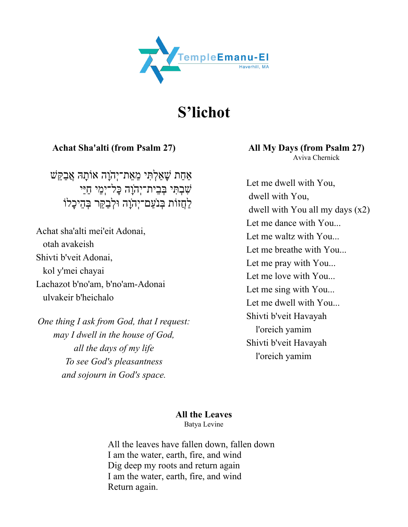

**S'lichot**

**Achat Sha'alti (from Psalm 27)**

אַחַת שָׁאַלְתִּי מֵאֵת־יִהוָה אוֹתָהּ אֲבַקֵּשׁ ֹשָׁבְתְּי בְּבֵית־יָהוָה כָּל־יִמֵי חַיַּי לַחֲזוֹת בִּנֹעֲם־יִהֹוַה וּלְבַקֵּר בְּהֵיכָלוֹ

Achat sha'alti mei'eit Adonai, otah avakeish Shivti b'veit Adonai, kol y'mei chayai Lachazot b'no'am, b'no'am-Adonai ulvakeir b'heichalo

*One thing I ask from God, that I request: may I dwell in the house of God, all the days of my life To see God's pleasantness and sojourn in God's space.*

 **All My Days (from Psalm 27)** Aviva Chernick

 Let me dwell with You, dwell with You, dwell with You all my days (x2) Let me dance with You... Let me waltz with You... Let me breathe with You... Let me pray with You... Let me love with You... Let me sing with You... Let me dwell with You... Shivti b'veit Havayah l'oreich yamim Shivti b'veit Havayah l'oreich yamim

#### **All the Leaves**

Batya Levine

All the leaves have fallen down, fallen down I am the water, earth, fire, and wind Dig deep my roots and return again I am the water, earth, fire, and wind Return again.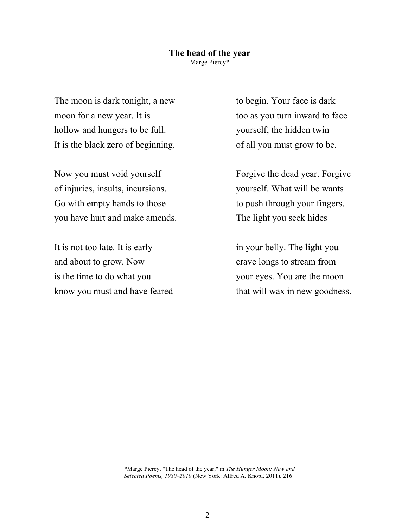#### **The head of the year** Marge Piercy\*

The moon is dark tonight, a new moon for a new year. It is hollow and hungers to be full. It is the black zero of beginning.

Now you must void yourself of injuries, insults, incursions. Go with empty hands to those you have hurt and make amends.

It is not too late. It is early and about to grow. Now is the time to do what you know you must and have feared to begin. Your face is dark too as you turn inward to face yourself, the hidden twin of all you must grow to be.

Forgive the dead year. Forgive yourself. What will be wants to push through your fingers. The light you seek hides

in your belly. The light you crave longs to stream from your eyes. You are the moon that will wax in new goodness.

\*Marge Piercy, "The head of the year," in *The Hunger Moon: New and Selected Poems, 1980–2010* (New York: Alfred A. Knopf, 2011), 216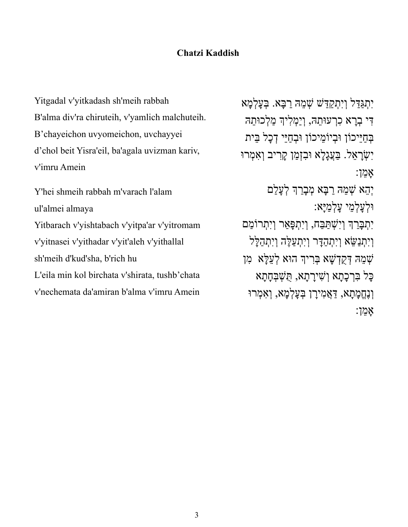## **Chatzi Kaddish**

Yitgadal v'yitkadash sh'meih rabbah B'alma div'ra chiruteih, v'yamlich malchuteih. B'chayeichon uvyomeichon, uvchayyei d'chol beit Yisra'eil, ba'agala uvizman kariv, v'imru Amein

Y'hei shmeih rabbah m'varach l'alam ul'almei almaya Yitbarach v'yishtabach v'yitpa'ar v'yitromam v'yitnasei v'yithadar v'yit'aleh v'yithallal sh'meih d'kud'sha, b'rich hu L'eila min kol birchata v'shirata, tushb'chata v'nechemata da'amiran b'alma v'imru Amein

יִתְגִּדִּל וְיִתְקִדְּשׁ שָׁמֹהָ רִבּאַ. בְּעַלְמֹא דִי בְרַא כְרְעוּתֶהּ, וְיַמְלִיךְ מַלְכוּתֵהּ בְחַיֵּיכוֹן וּבְיוֹמֵיכוֹן וּבְחַיֵּי דְכָל בֵּית יְשָׂרַאֲל. בַּעֲגַלַא וּבִזְמַן קַרִיב וְאָמְרוּ ןֵמאָ : יִהֵא שִׁמֶהּ רַבָּא מִבָרַךְ לְעָלַם יֵמְלָעְלוּ אָיַּמְלָע : יְתִבְּרַךְ וְיִשְׁתַּבָּח, וְיִתִפָּאַר וְיִתְרוֹמֵם וְיָתִנַשֵּׂא וְיִתְהַדָּר וְיָתְעֲלֶה וְיְתִהַלָּל יִשְׁמָה אָשְׁיִם הָּמֻדְּשָׁא הַרִיךְ הוּא אָעֲלֵּא הו ָכָּל בְּרְכָתָא וְשִׁירָתָא, הָשָׁבְּחָתָא

וְנָחֱמָתָא, דַאֲמִירַן בִּעֲלְמָא, וְאִמְרוּ ןֵמאָ :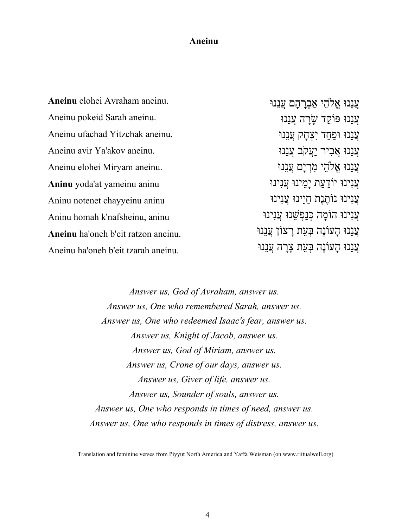#### **Aneinu Aneinu**

**Aneinu** elohei Avraham aneinu. Aneinu pokeid Sarah aneinu. Aneinu ufachad Yitzchak aneinu. Aneinu avir Ya'akov aneinu. Aneinu elohei Miryam aneinu. **Aninu** yoda'at yameinu aninu Aninu notenet chayyeinu aninu Aninu homah k'nafsheinu, aninu **Aneinu** ha'oneh b'eit ratzon aneinu. Aneinu ha'oneh b'eit tzarah aneinu. וּנֵנֲע יֵהלֱא םָהָרְבאַ וּנֵנֲע עֲנֵנוּ פּוֹקֵד ש<u>ַׂר</u>ְה עֲנֵנוּ וּנֵנֲע דַחַפוּ קָחְצִי וּנֵנֲע וּנֵנֲע ריִבֲא בֹקֲעַי וּנֵנֲע וּנֵנֲע יֵהלֱא םָיְרִמ וּנֵנֲע וּניִנֲע תַעַדוֹי וּניֵמָי וּניִנֲע עֲנינוּ נוֹחֱנֶת חיינוּ עֲנינוּ וּניִנֲע הָמוֹה וּנֵשְׁפַנְכּ וּניִנֲע וּנֵנֲע הֶנוֹעָה תֵעְבּ ןוֹצָר וּנֵנֲע ּעֲנִנוּ הִעוֹנֵה בְּעַת צרה עֲנִנוּ

> *Answer us, God of Avraham, answer us. Answer us, One who remembered Sarah, answer us. Answer us, One who redeemed Isaac's fear, answer us. Answer us, Knight of Jacob, answer us. Answer us, God of Miriam, answer us. Answer us, Crone of our days, answer us. Answer us, Giver of life, answer us. Answer us, Sounder of souls, answer us. Answer us, One who responds in times of need, answer us. Answer us, One who responds in times of distress, answer us.*

Translation and feminine verses from Piyyut North America and Yaffa Weisman (on www.riitualwell.org)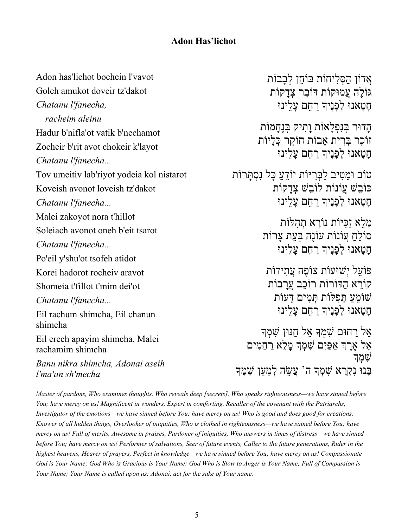# **Adon Has'lichot**

Adon has'lichot bochein l'vavot Goleh amukot doveir tz'dakot *Chatanu l'fanecha, racheim aleinu* Hadur b'nifla'ot vatik b'nechamot Zocheir b'rit avot chokeir k'layot *Chatanu l'fanecha...* Tov umeitiv lab'riyot yodeia kol nistarot Koveish avonot loveish tz'dakot *Chatanu l'fanecha...* Malei zakoyot nora t'hillot Soleiach avonot oneh b'eit tsarot *Chatanu l'fanecha...* Po'eil y'shu'ot tsofeh atidot Korei hadorot rocheiv aravot Shomeia t'fillot t'mim dei'ot *Chatanu l'fanecha...* Eil rachum shimcha, Eil chanun shimcha Eil erech apayim shimcha, Malei rachamim shimcha *Banu nikra shimcha, Adonai aseih l'ma'an sh'mecha*

אֲדוֹן הַסָּלְיחוֹת בּוֹחֵן לְבָבוֹת גּוֹלֶה עֲמוּקוֹת דּוֹבִר צְדַקוֹת ּחָטָאנוּ לִפָּנֵיךְ רַחֵם עַלֵינוּ

הדוּר בּנפלאוֹת ותיק בּנחִמוֹת זוֹכֵר בְּרִית אָבוֹת חוֹקֵר כְּלָיוֹת ּחָטָאנוּ לִפָּנֵיךְ רַחֵם עָלֵינוּ

טוֹב וּמֵטִיב לַבְּרִיּוֹת יוֹדֶעֲ כַּל נִסְתַּרוֹת כּוֹבֹשׁ עֲוֹנוֹת לוֹבֹשׁ צַדִּקְוֹת חטאנוּ לְפִנֶיךָ רחם עלינוּ

> מלא זכּיּוֹת נוֹרא תְהלוֹת ַחֵלוֹס תוֹנוֲֹע הֶנוֹע תֵעְבּ תוֹרָצ חטאנוּ לְפִנְיִדְ רחם עלינוּ

פּוֹעל יְשׁוּעוֹת צוֹפֵה עֲתידוֹת קוֹרָא הַדּוֹרוֹת רוֹכָב עֲרַבוֹת ַעֵמוֹשׁ תוֹלִּפְתּ םיִמְתּ תוֹעֵדּ ּחַטַאנוּ לְפַנֵיךְ רַחֵם עַלֵינוּ

אל רחוּם שמִד אל חַנּוּן שַׁמְד אֵל אֶרֶךְ אַפַּיִם שִׁמְךָ מָלֵא רַחַמִים ֿשָׁמ<del>ָ</del>ד בּנוּ נקרא שמִדְּה<sup>ַ</sup> עַשׂה למען שַׁמִדְ

*Master of pardons, Who examines thoughts, Who reveals deep [secrets], Who speaks righteousness—we have sinned before You; have mercy on us! Magnificent in wonders, Expert in comforting, Recaller of the covenant with the Patriarchs, Investigator of the emotions—we have sinned before You; have mercy on us! Who is good and does good for creations, Knower of all hidden things, Overlooker of iniquities, Who is clothed in righteousness—we have sinned before You; have mercy on us! Full of merits, Awesome in praises, Pardoner of iniquities, Who answers in times of distress—we have sinned before You; have mercy on us! Performer of salvations, Seer of future events, Caller to the future generations, Rider in the highest heavens, Hearer of prayers, Perfect in knowledge—we have sinned before You; have mercy on us! Compassionate God is Your Name; God Who is Gracious is Your Name; God Who is Slow to Anger is Your Name; Full of Compassion is Your Name; Your Name is called upon us; Adonai, act for the sake of Your name.*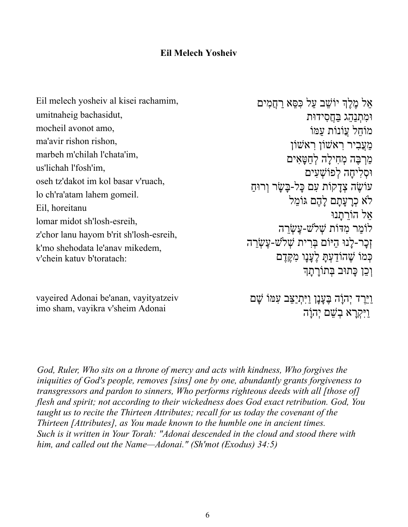## **Eil Melech Yosheiv**

Eil melech yosheiv al kisei rachamim, umitnaheig bachasidut, mocheil avonot amo, ma'avir rishon rishon, marbeh m'chilah l'chata'im, us'lichah l'fosh'im, oseh tz'dakot im kol basar v'ruach, lo ch'ra'atam lahem gomeil. Eil, horeitanu lomar midot sh'losh-esreih, z'chor lanu hayom b'rit sh'losh-esreih, k'mo shehodata le'anav mikedem, v'chein katuv b'toratach:

ְאֵל מֶלֶךְ יוֹשֵׁב עַל כִּסֵּא רַחֲמִים וּמתנהג בחסידוּת מוֹחל עוֹנוֹת עמוֹ מעֲביר ראשׁוֹן ראשׁוֹן מַרִבָּה מְחִילַה לְחַטַּאִים וּסלִיחה לִפוֹשׁעים עוֹשׂה צִדַקוֹת עִם כַּל-בָּשָׂר וְרוּחַ לֹא כְרעתם לֹהֶם גּוֹמֹל  $\lambda$ ל הוֹרַתנוּ לוֹמר מדּוֹת שָׁלִשׁ-עֲשָׂרה וָכַר-לַנוּ הַיּוֹם בְּרִית שָׁלֹשׁ-עֲשֶׂרֵה כִּמ*ּוֹ שֶׁהוֹדעַתּ לֵענו מִקְד*ָם וְכֵן כָּתוּב בְּתוֹרַתַּךְ

vayeired Adonai be'anan, vayityatzeiv imo sham, vayikra v'sheim Adonai

<u>וַיָּרֶ</u>ד יְהִוַּה בֵּעֲנַן וַיְּתִיַצֵּב עָמוֹ שָׁם ויּקָרא בָשׁם יְהוֹה

*God, Ruler, Who sits on a throne of mercy and acts with kindness, Who forgives the iniquities of God's people, removes [sins] one by one, abundantly grants forgiveness to transgressors and pardon to sinners, Who performs righteous deeds with all [those of] flesh and spirit; not according to their wickedness does God exact retribution. God, You taught us to recite the Thirteen Attributes; recall for us today the covenant of the Thirteen [Attributes], as You made known to the humble one in ancient times. Such is it written in Your Torah: "Adonai descended in the cloud and stood there with him, and called out the Name—Adonai." (Sh'mot (Exodus) 34:5)*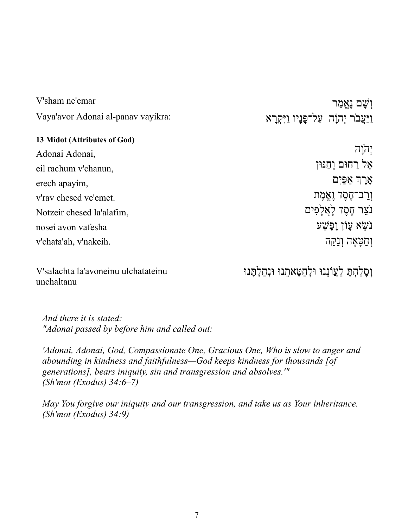| V'sham ne'emar                     | וִשַׁם נֵאֱמַר                            |
|------------------------------------|-------------------------------------------|
| Vaya'avor Adonai al-panav vayikra: | וַיַּעֲבֹר יִהוַׂה עַל־פַּנָיו וַיִּקְרַא |
| 13 Midot (Attributes of God)       |                                           |
| Adonai Adonai,                     | יְהֹוָה                                   |
| eil rachum v'chanun,               | אֵל רַחוּם וְחַנּוּן                      |
| erech apayim,                      | אֵרֶךְ אַפַּיִם                           |
| v'rav chesed ve'emet.              | וַרַב־חֶסֶד וֶאֱמֶת                       |
| Notzeir chesed la'alafim,          | נֹצֵר חֶסֶד לָאֲלָפִים                    |
| nosei avon vafesha                 | ּ בֹשֵׂא עַוֹן וַפִּשַׁע                  |
| v'chata'ah, v'nakeih.              | וְחַטָּאָה וְנַקֵּה                       |
|                                    |                                           |

V'salachta la'avoneinu ulchatateinu unchaltanu

וְסָלַחְתָּ לַעֲוֹנֵנוּ וּלְחַטָּאתֵנוּ וּנְחַלְתָּנוּ

*And there it is stated: "Adonai passed by before him and called out:* 

*'Adonai, Adonai, God, Compassionate One, Gracious One, Who is slow to anger and abounding in kindness and faithfulness—God keeps kindness for thousands [of generations], bears iniquity, sin and transgression and absolves.'" (Sh'mot (Exodus) 34:6–7)*

*May You forgive our iniquity and our transgression, and take us as Your inheritance. (Sh'mot (Exodus) 34:9)*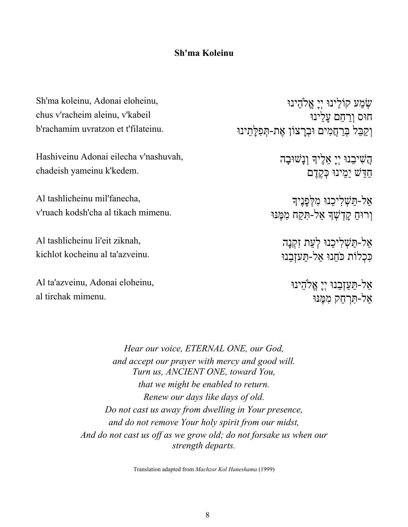### **Sh'ma Koleinu Ashamnu Ashamnu Ashamnu Ashamnu Ashamnu Ashamnu** Ashamnu Ashamnu Ashamnu Ashamnu Ashamnu Ashamnu Ashamnu Ashamnu Ashamnu Ashamnu Ashamnu Ashamnu Ashamnu Ashamnu Ashamnu Ashamnu Ashamnu Ashamnu Ashamnu As

Sh'ma koleinu, Adonai eloheinu, chus v'racheim aleinu, v'kabeil b'rachamim uvratzon et t'filateinu.

Hashiveinu Adonai eilecha v'nashuvah, chadeish yameinu k'kedem.

Al tashlicheinu mil'fanecha, v'ruach kodsh'cha al tikach mimenu.

Al tashlicheinu li'eit ziknah, kichlot kocheinu al ta'azveinu.

Al ta'azveinu, Adonai eloheinu, al tirchak mimenu.

עִוּמַע קוֹלֵינוּ יִיַ אֱלֹהֵינוּ חוּס ורחם עלינוּ וְקַבֵּל בְּרָחֲמִים וּבְרַצוֹן אֵת-תִּפְלֵּתֵינוּ

> הַשִּׁיּבֵנוּ יְיָ אֱלֵיךָ וְנָשׁוּבָה חדּשׁ ימינוּ כָּקֶדֶם

אל-תּעָליכנוּ מלְפַנֵיך וְרוּחַ קַדְשָׁךָ אַל-תְּקַח מִמֶּנּוּ

> אַל-תַּשָׁלִיכֵנוּ לְעֵת זְקִנָּה כּכלוֹת כֹּחֹנוּ אל-תּעזבנוּ

> > אַל-תַּעֲזָבֶנוּ יְיַ אֱלֹהֵינוּ אל-תּרחק ממנוּ

*Hear our voice, ETERNAL ONE, our God, and accept our prayer with mercy and good will. Turn us, ANCIENT ONE, toward You, that we might be enabled to return. Renew our days like days of old. Do not cast us away from dwelling in Your presence, and do not remove Your holy spirit from our midst, And do not cast us off as we grow old; do not forsake us when our strength departs.*

Translation adapted from *Machzor Kol Haneshama* (1999)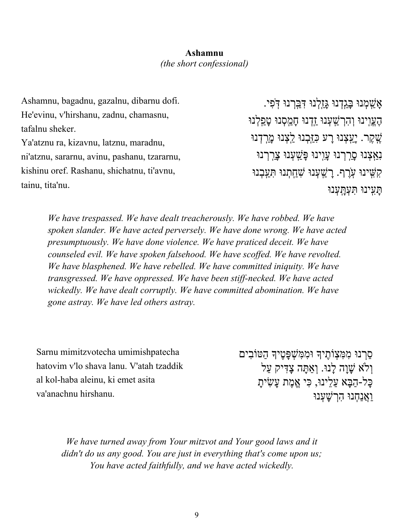# **Sh'ma Koleinu Ashamnu** *(the short confessional)*

Ashamnu, bagadnu, gazalnu, dibarnu dofi. He'evinu, v'hirshanu, zadnu, chamasnu, tafalnu sheker. Ya'atznu ra, kizavnu, latznu, maradnu, ni'atznu, sararnu, avinu, pashanu, tzararnu, kishinu oref. Rashanu, shichatnu, ti'avnu, tainu, tita'nu.

ו*ּנִיבּג*ָדְנוּ גּזַלְנוּ דִּבְרְנוּ דִּפִי הֵעֵוִינוּ וְהָרְשָׁעָנוּ זַדְנוּ חַמֲסְנוּ טַפְלְנוּ ּנֶאְקֶר. יְ<u>ע</u>ְצְנוּ רָע כְּזַּבְנוּ לַצְנוּ מֲרִדְנוּ וּנִאָצָנוּ סרִרְנוּ עוִינוּ פּ*ּשָׁ*עָנוּ צרִרְנוּ קִשִּׁינוּ עָרֵף. <u>רְש</u>ָׁעָנוּ שַׁחֲתְנוּ תַּעַבְנוּ וּניִֽעָתּ וּנְעָֽתְּעִתּ

*We have trespassed. We have dealt treacherously. We have robbed. We have spoken slander. We have acted perversely. We have done wrong. We have acted presumptuously. We have done violence. We have praticed deceit. We have counseled evil. We have spoken falsehood. We have scoffed. We have revolted. We have blasphened. We have rebelled. We have committed iniquity. We have transgressed. We have oppressed. We have been stiff-necked. We have acted wickedly. We have dealt corruptly. We have committed abomination. We have gone astray. We have led others astray.* 

Sarnu mimitzvotecha umimishpatecha hatovim v'lo shava lanu. V'atah tzaddik al kol-haba aleinu, ki emet asita va'anachnu hirshanu.

ּסַרְנוּ מִמְּצָוֹתֵיךָ וּמִמְּשָׁפַּטֵיךָ הַטּוֹבִים וְלֹא שָׁוָה לָנוּ. וְאַתָּה צָדִּיק עַל ּכָּל-הַבָּא עַלֵינוּ, כִּי אֵמֶת עָשִׂיתָ וּנְחַנֲאַו וּנְעָשְׁרִה

*We have turned away from Your mitzvot and Your good laws and it didn't do us any good. You are just in everything that's come upon us; You have acted faithfully, and we have acted wickedly.*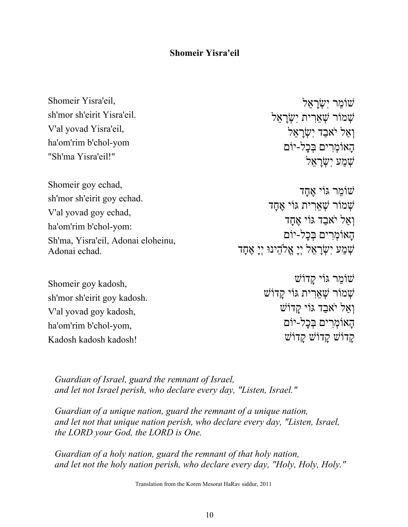#### **Shomeir Yisra'eil**

| Shomeir Yisra'eil,                 | שומר ישראל                                   |
|------------------------------------|----------------------------------------------|
| sh'mor sh'eirit Yisra'eil.         | שמור שְאֲרִית יְשָׂרָאֵל                     |
| V'al yovad Yisra'eil,              | וְאַל יֹאבַד יְשָׂרָאֵל                      |
| ha'om'rim b'chol-yom               | הַאוֹמִרִים בִּכַל-יוֹם                      |
| "Sh'ma Yisra'eil!"                 | שמע ישראל                                    |
| Shomeir goy echad,                 | שׁוֹמֵר גּוֹי אֵחָד                          |
| sh'mor sh'eirit goy echad.         |                                              |
| V'al yovad goy echad,              | שמור שְאֵרִית גּוֹי אֵחֲד                    |
| ha'om'rim b'chol-yom:              | וְאַל יֹאבַד גּוֹי אֱחֲד                     |
| Sh'ma, Yisra'eil, Adonai eloheinu, | הָאוֹמִרִים בִּכָל-יוֹם                      |
| Adonai echad.                      | שָׁמַע יִשְׂרָאֵל יְיָ אֱלֹהֵינוּ יְיָ אֶחָד |

Shomeir goy kadosh, sh'mor sh'eirit goy kadosh. V'al yovad goy kadosh, ha'om'rim b'chol-yom, Kadosh kadosh kadosh!

```
שׁוֹמר גּוֹי קדוֹשׁ
שׁמוֹר שָׁאֲרִית גּוֹי קַדוֹשׁ
     וְאֲל יֹאָבַד גּוֹי קַדוֹשׁ
      הַאוֹמְרִים בְּכַל-יוֹם
      קַדוֹשׁ קַדוֹשׁ קַדוֹשׁ
```
*Guardian of Israel, guard the remnant of Israel, and let not Israel perish, who declare every day, "Listen, Israel."*

*Guardian of a unique nation, guard the remnant of a unique nation, and let not that unique nation perish, who declare every day, "Listen, Israel, the LORD your God, the LORD is One.*

*Guardian of a holy nation, guard the remnant of that holy nation, and let not the holy nation perish, who declare every day, "Holy, Holy, Holy."*

Translation from the Koren Mesorat HaRav siddur, 2011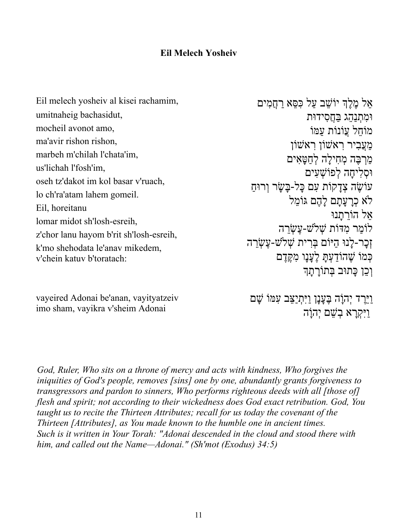## **Eil Melech Yosheiv**

Eil melech yosheiv al kisei rachamim, umitnaheig bachasidut, mocheil avonot amo, ma'avir rishon rishon, marbeh m'chilah l'chata'im, us'lichah l'fosh'im, oseh tz'dakot im kol basar v'ruach, lo ch'ra'atam lahem gomeil. Eil, horeitanu lomar midot sh'losh-esreih, z'chor lanu hayom b'rit sh'losh-esreih, k'mo shehodata le'anav mikedem, v'chein katuv b'toratach:

ְאֵל מֶלֶךְ יוֹשֵׁב עַל כִּסֵּא רַחֲמִים וּמתנהג בחסידוּת מוֹחל עוֹנוֹת עמּוֹ מעֲביר ראשׁוֹן ראשׁוֹן מַרִבָּה מְחִילַה לְחַטַּאִים וּסלִיחה לִפוֹשׁעים עוֹשֶׂה צְדַקוֹת עָם כַּל-בַּשַׂר וְרוּחַ לֹא כְרעתם לֹהֶם גּוֹמֹל אֵל הוֹרתנוּ לוֹמר מדּוֹת שָׁלֹשׁ-עֲשָׂרה וָכַר-לַנוּ הַיּוֹם בְּרִית שָׁלֹשׁ-עֲשֶׂרֵה כִּמ*ּוֹ שֶׁהוֹדִעָתּ לֵענו מִקְד*ָם וְכֵן כָּתוּב בְּתוֹרַתַּךְ

vayeired Adonai be'anan, vayityatzeiv imo sham, vayikra v'sheim Adonai

<u>וַיָּרֶ</u>ד יְהִוַּה בֵּעֲנַן וַיְּתִיַצֵּב עָמוֹ שָׁם ויּקָרא בָשׁם יְהוֹה

*God, Ruler, Who sits on a throne of mercy and acts with kindness, Who forgives the iniquities of God's people, removes [sins] one by one, abundantly grants forgiveness to transgressors and pardon to sinners, Who performs righteous deeds with all [those of] flesh and spirit; not according to their wickedness does God exact retribution. God, You taught us to recite the Thirteen Attributes; recall for us today the covenant of the Thirteen [Attributes], as You made known to the humble one in ancient times. Such is it written in Your Torah: "Adonai descended in the cloud and stood there with him, and called out the Name—Adonai." (Sh'mot (Exodus) 34:5)*